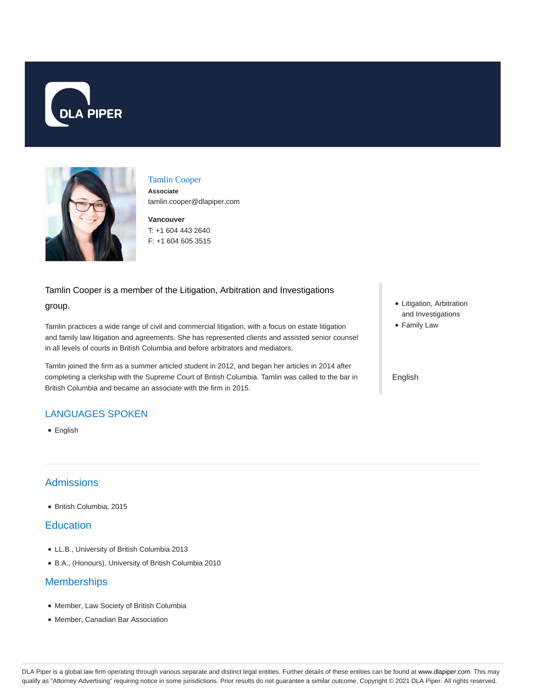



# Tamlin Cooper

**Associate** tamlin.cooper@dlapiper.com

**Vancouver** T: +1 604 443 2640 F: +1 604 605 3515

### Tamlin Cooper is a member of the Litigation, Arbitration and Investigations

#### group.

Tamlin practices a wide range of civil and commercial litigation, with a focus on estate litigation and family law litigation and agreements. She has represented clients and assisted senior counsel in all levels of courts in British Columbia and before arbitrators and mediators.

Tamlin joined the firm as a summer articled student in 2012, and began her articles in 2014 after completing a clerkship with the Supreme Court of British Columbia. Tamlin was called to the bar in British Columbia and became an associate with the firm in 2015.

# LANGUAGES SPOKEN

• English

# Admissions

British Columbia, 2015

### **Education**

- LL.B., University of British Columbia 2013
- B.A., (Honours), University of British Columbia 2010

### **Memberships**

- Member, Law Society of British Columbia
- Member, Canadian Bar Association
- Litigation, Arbitration and Investigations
- Family Law

#### English

DLA Piper is a global law firm operating through various separate and distinct legal entities. Further details of these entities can be found at www.dlapiper.com. This may qualify as "Attorney Advertising" requiring notice in some jurisdictions. Prior results do not guarantee a similar outcome. Copyright © 2021 DLA Piper. All rights reserved.